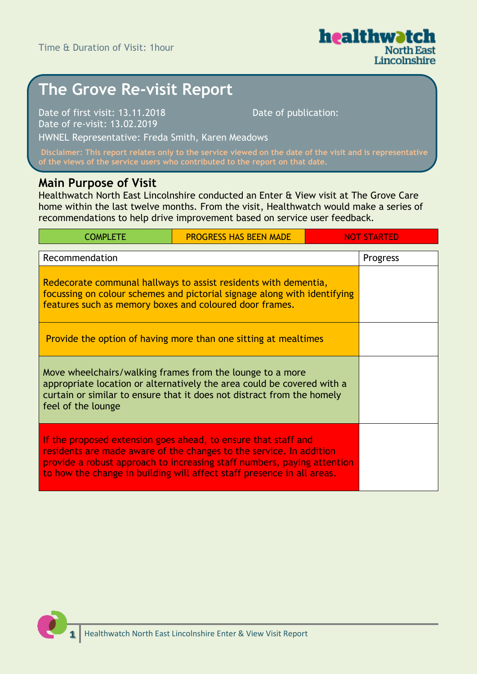

# **The Grove Re-visit Report**

Date of first visit: 13.11.2018 Date of re-visit: 13.02.2019

Date of publication:

HWNEL Representative: Freda Smith, Karen Meadows

**Disclaimer: This report relates only to the service viewed on the date of the visit and is representative** 

### **Main Purpose of Visit**

Healthwatch North East Lincolnshire conducted an Enter & View visit at The Grove Care home within the last twelve months. From the visit, Healthwatch would make a series of recommendations to help drive improvement based on service user feedback.

| <b>COMPLETE</b>                                                                                                                                                                                                                                                                            | <b>PROGRESS HAS BEEN MADE</b> | NOT STARTED |
|--------------------------------------------------------------------------------------------------------------------------------------------------------------------------------------------------------------------------------------------------------------------------------------------|-------------------------------|-------------|
| Recommendation                                                                                                                                                                                                                                                                             |                               | Progress    |
| Redecorate communal hallways to assist residents with dementia,<br>focussing on colour schemes and pictorial signage along with identifying<br>features such as memory boxes and coloured door frames.                                                                                     |                               |             |
| Provide the option of having more than one sitting at mealtimes                                                                                                                                                                                                                            |                               |             |
| Move wheelchairs/walking frames from the lounge to a more<br>appropriate location or alternatively the area could be covered with a<br>curtain or similar to ensure that it does not distract from the homely<br>feel of the lounge                                                        |                               |             |
| If the proposed extension goes ahead, to ensure that staff and<br>residents are made aware of the changes to the service. In addition<br>provide a robust approach to increasing staff numbers, paying attention<br>to how the change in building will affect staff presence in all areas. |                               |             |